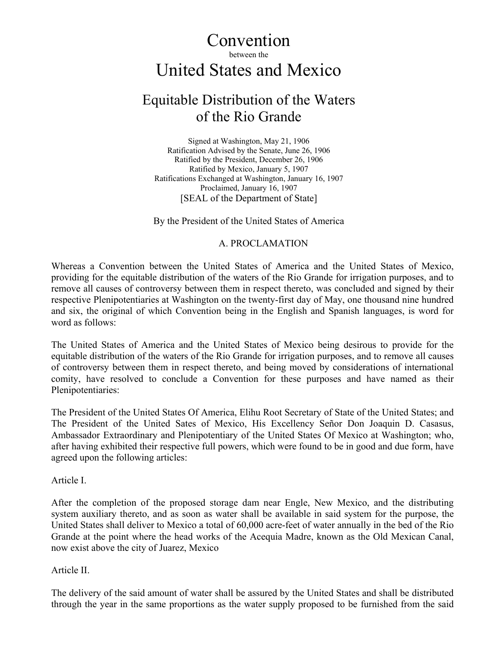## **Convention** between the United States and Mexico

# Equitable Distribution of the Waters of the Rio Grande

Signed at Washington, May 21, 1906 Ratification Advised by the Senate, June 26, 1906 Ratified by the President, December 26, 1906 Ratified by Mexico, January 5, 1907 Ratifications Exchanged at Washington, January 16, 1907 Proclaimed, January 16, 1907 [SEAL of the Department of State]

By the President of the United States of America

### A. PROCLAMATION

Whereas a Convention between the United States of America and the United States of Mexico, providing for the equitable distribution of the waters of the Rio Grande for irrigation purposes, and to remove all causes of controversy between them in respect thereto, was concluded and signed by their respective Plenipotentiaries at Washington on the twenty-first day of May, one thousand nine hundred and six, the original of which Convention being in the English and Spanish languages, is word for word as follows:

The United States of America and the United States of Mexico being desirous to provide for the equitable distribution of the waters of the Rio Grande for irrigation purposes, and to remove all causes of controversy between them in respect thereto, and being moved by considerations of international comity, have resolved to conclude a Convention for these purposes and have named as their Plenipotentiaries:

The President of the United States Of America, Elihu Root Secretary of State of the United States; and The President of the United Sates of Mexico, His Excellency Señor Don Joaquin D. Casasus, Ambassador Extraordinary and Plenipotentiary of the United States Of Mexico at Washington; who, after having exhibited their respective full powers, which were found to be in good and due form, have agreed upon the following articles:

Article I.

After the completion of the proposed storage dam near Engle, New Mexico, and the distributing system auxiliary thereto, and as soon as water shall be available in said system for the purpose, the United States shall deliver to Mexico a total of 60,000 acre-feet of water annually in the bed of the Rio Grande at the point where the head works of the Acequia Madre, known as the Old Mexican Canal, now exist above the city of Juarez, Mexico

Article II.

The delivery of the said amount of water shall be assured by the United States and shall be distributed through the year in the same proportions as the water supply proposed to be furnished from the said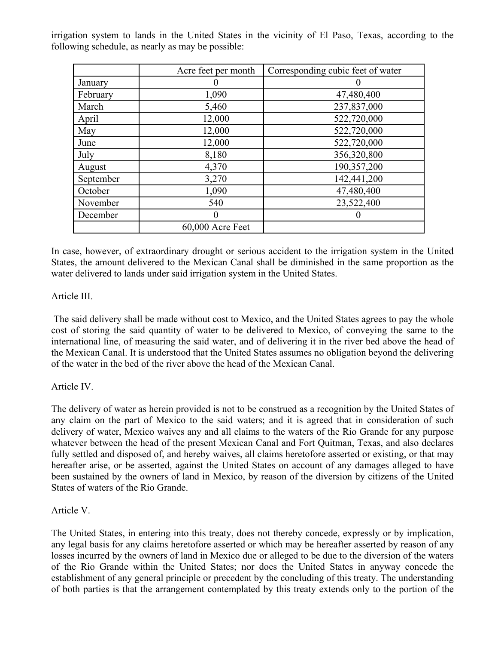irrigation system to lands in the United States in the vicinity of El Paso, Texas, according to the following schedule, as nearly as may be possible:

|           | Acre feet per month | Corresponding cubic feet of water |
|-----------|---------------------|-----------------------------------|
| January   | 0                   |                                   |
| February  | 1,090               | 47,480,400                        |
| March     | 5,460               | 237,837,000                       |
| April     | 12,000              | 522,720,000                       |
| May       | 12,000              | 522,720,000                       |
| June      | 12,000              | 522,720,000                       |
| July      | 8,180               | 356,320,800                       |
| August    | 4,370               | 190,357,200                       |
| September | 3,270               | 142,441,200                       |
| October   | 1,090               | 47,480,400                        |
| November  | 540                 | 23,522,400                        |
| December  | $\boldsymbol{0}$    |                                   |
|           | 60,000 Acre Feet    |                                   |

In case, however, of extraordinary drought or serious accident to the irrigation system in the United States, the amount delivered to the Mexican Canal shall be diminished in the same proportion as the water delivered to lands under said irrigation system in the United States.

### Article III.

 The said delivery shall be made without cost to Mexico, and the United States agrees to pay the whole cost of storing the said quantity of water to be delivered to Mexico, of conveying the same to the international line, of measuring the said water, and of delivering it in the river bed above the head of the Mexican Canal. It is understood that the United States assumes no obligation beyond the delivering of the water in the bed of the river above the head of the Mexican Canal.

#### Article IV.

The delivery of water as herein provided is not to be construed as a recognition by the United States of any claim on the part of Mexico to the said waters; and it is agreed that in consideration of such delivery of water, Mexico waives any and all claims to the waters of the Rio Grande for any purpose whatever between the head of the present Mexican Canal and Fort Quitman, Texas, and also declares fully settled and disposed of, and hereby waives, all claims heretofore asserted or existing, or that may hereafter arise, or be asserted, against the United States on account of any damages alleged to have been sustained by the owners of land in Mexico, by reason of the diversion by citizens of the United States of waters of the Rio Grande.

### Article V.

The United States, in entering into this treaty, does not thereby concede, expressly or by implication, any legal basis for any claims heretofore asserted or which may be hereafter asserted by reason of any losses incurred by the owners of land in Mexico due or alleged to be due to the diversion of the waters of the Rio Grande within the United States; nor does the United States in anyway concede the establishment of any general principle or precedent by the concluding of this treaty. The understanding of both parties is that the arrangement contemplated by this treaty extends only to the portion of the